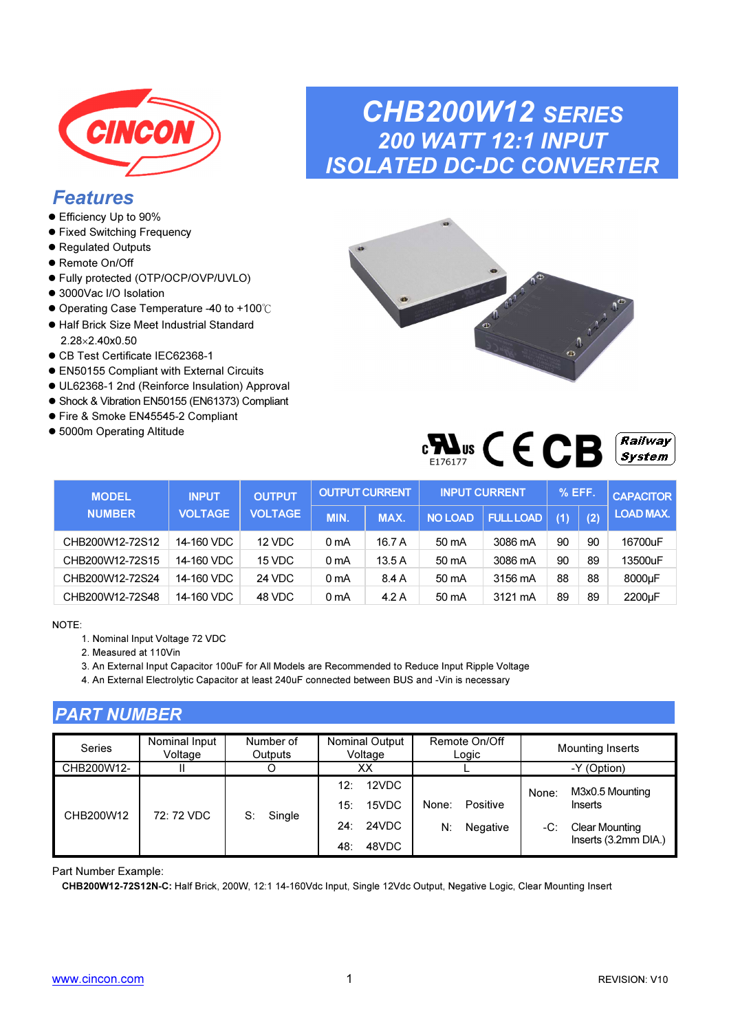

### Features

- Efficiency Up to 90%
- **•** Fixed Switching Frequency
- Regulated Outputs
- Remote On/Off
- Fully protected (OTP/OCP/OVP/UVLO)
- 3000Vac I/O Isolation
- Operating Case Temperature -40 to +100℃
- Half Brick Size Meet Industrial Standard 2.28×2.40x0.50
- CB Test Certificate IEC62368-1
- EN50155 Compliant with External Circuits
- UL62368-1 2nd (Reinforce Insulation) Approval
- Shock & Vibration EN50155 (EN61373) Compliant
- Fire & Smoke EN45545-2 Compliant
- 5000m Operating Altitude

## CHB200W12 SERIES 200 WATT 12:1 INPUT ISOLATED DC-DC CONVERTER



| $\mathbf{r}$<br>WS<br>Λ<br>F176177 |  |  | - | <i><b>Railway</b></i><br>Svstem |
|------------------------------------|--|--|---|---------------------------------|
|------------------------------------|--|--|---|---------------------------------|

| <b>MODEL</b>    | <b>INPUT</b>   | <b>OUTPUT</b>  |      | <b>OUTPUT CURRENT</b> |                | <b>INPUT CURRENT</b> | % EFF. |     | <b>CAPACITOR</b> |
|-----------------|----------------|----------------|------|-----------------------|----------------|----------------------|--------|-----|------------------|
| <b>NUMBER</b>   | <b>VOLTAGE</b> | <b>VOLTAGE</b> | MIN. | <b>MAX.</b>           | <b>NO LOAD</b> | <b>FULL LOAD</b>     | (1)    | (2) | <b>LOAD MAX.</b> |
| CHB200W12-72S12 | 14-160 VDC     | 12 VDC         | 0 mA | 16.7 A                | 50 mA          | 3086 mA              | 90     | 90  | 16700uF          |
| CHB200W12-72S15 | 14-160 VDC     | 15 VDC         | 0 mA | 13.5A                 | 50 mA          | 3086 mA              | 90     | 89  | 13500uF          |
| CHB200W12-72S24 | 14-160 VDC     | 24 VDC         | 0 mA | 8.4 A                 | 50 mA          | 3156 mA              | 88     | 88  | 8000µF           |
| CHB200W12-72S48 | 14-160 VDC     | 48 VDC         | 0 mA | 4.2 A                 | 50 mA          | 3121 mA              | 89     | 89  | 2200µF           |

NOTE:

- 1. Nominal Input Voltage 72 VDC
- 2. Measured at 110Vin

3. An External Input Capacitor 100uF for All Models are Recommended to Reduce Input Ripple Voltage

4. An External Electrolytic Capacitor at least 240uF connected between BUS and -Vin is necessary

#### PART NUMBER

| <b>Series</b> | Nominal Input<br>Voltage | Number of<br>Outputs | <b>Nominal Output</b><br>Voltage                                      | Remote On/Off<br>Logic              | <b>Mounting Inserts</b>                                                                     |
|---------------|--------------------------|----------------------|-----------------------------------------------------------------------|-------------------------------------|---------------------------------------------------------------------------------------------|
| CHB200W12-    |                          |                      | ХX                                                                    |                                     | -Y (Option)                                                                                 |
| CHB200W12     | 72: 72 VDC               | Single<br>S:         | 12VDC<br>$12^{\circ}$<br>15VDC<br>15:<br>24VDC<br>24:<br>48VDC<br>48: | Positive<br>None:<br>N:<br>Negative | M3x0.5 Mounting<br>None:<br>Inserts<br><b>Clear Mounting</b><br>-C:<br>Inserts (3.2mm DIA.) |

Part Number Example:

CHB200W12-72S12N-C: Half Brick, 200W, 12:1 14-160Vdc Input, Single 12Vdc Output, Negative Logic, Clear Mounting Insert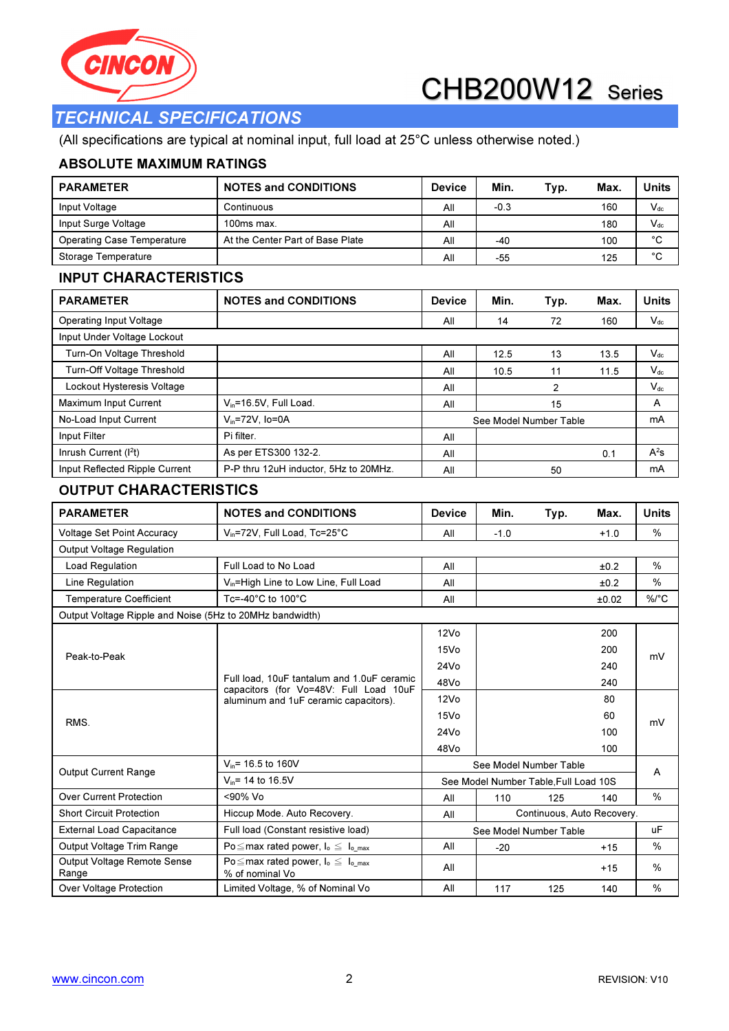



### TECHNICAL SPECIFICATIONS

(All specifications are typical at nominal input, full load at 25°C unless otherwise noted.)

#### ABSOLUTE MAXIMUM RATINGS

| <b>PARAMETER</b>                                         | <b>NOTES and CONDITIONS</b>                                                          | <b>Device</b>                         | Min.   | Typ.                       | Max.   | <b>Units</b> |
|----------------------------------------------------------|--------------------------------------------------------------------------------------|---------------------------------------|--------|----------------------------|--------|--------------|
| Input Voltage                                            | Continuous                                                                           | Αll                                   | $-0.3$ |                            | 160    | $V_{dc}$     |
| Input Surge Voltage                                      | 100ms max.                                                                           | All                                   |        |                            | 180    | $V_{dc}$     |
| <b>Operating Case Temperature</b>                        | At the Center Part of Base Plate                                                     | All                                   | -40    |                            | 100    | $^{\circ}C$  |
| Storage Temperature                                      |                                                                                      | All                                   | -55    |                            | 125    | $^{\circ}$ C |
| <b>INPUT CHARACTERISTICS</b>                             |                                                                                      |                                       |        |                            |        |              |
| <b>PARAMETER</b>                                         | <b>NOTES and CONDITIONS</b>                                                          | <b>Device</b>                         | Min.   | Typ.                       | Max.   | <b>Units</b> |
| <b>Operating Input Voltage</b>                           |                                                                                      | Αll                                   | 14     | 72                         | 160    | $V_{dc}$     |
| Input Under Voltage Lockout                              |                                                                                      |                                       |        |                            |        |              |
| Turn-On Voltage Threshold                                |                                                                                      | Αll                                   | 12.5   | 13                         | 13.5   | $V_{dc}$     |
| Turn-Off Voltage Threshold                               |                                                                                      | Αll                                   | 10.5   | 11                         | 11.5   | $V_{dc}$     |
| Lockout Hysteresis Voltage                               |                                                                                      | All                                   |        | 2                          |        | $V_{dc}$     |
| Maximum Input Current                                    | $V_{in}$ =16.5V, Full Load.                                                          | Αll                                   |        | 15                         |        | А            |
| No-Load Input Current                                    | $V_{in} = 72V$ , Io=0A                                                               |                                       |        | See Model Number Table     |        | mA           |
| Input Filter                                             | Pi filter.                                                                           | Αll                                   |        |                            |        |              |
| Inrush Current (I <sup>2</sup> t)                        | As per ETS300 132-2.                                                                 | All                                   |        |                            | 0.1    | $A^2s$       |
| Input Reflected Ripple Current                           | P-P thru 12uH inductor, 5Hz to 20MHz.                                                | All                                   |        | 50                         |        | mA           |
| <b>OUTPUT CHARACTERISTICS</b>                            |                                                                                      |                                       |        |                            |        |              |
| <b>PARAMETER</b>                                         | <b>NOTES and CONDITIONS</b>                                                          | <b>Device</b>                         | Min.   | Typ.                       | Max.   | <b>Units</b> |
| <b>Voltage Set Point Accuracy</b>                        | V <sub>in</sub> =72V, Full Load, Tc=25°C                                             | All                                   | $-1.0$ |                            | $+1.0$ | %            |
| <b>Output Voltage Regulation</b>                         |                                                                                      |                                       |        |                            |        |              |
| Load Regulation                                          | Full Load to No Load                                                                 | Αll                                   |        |                            | ±0.2   | %            |
| Line Regulation                                          | V <sub>in</sub> =High Line to Low Line, Full Load                                    | Αll                                   |        |                            | ±0.2   | %            |
| <b>Temperature Coefficient</b>                           | Tc=-40 $^{\circ}$ C to 100 $^{\circ}$ C                                              | All                                   |        |                            | ±0.02  | %/°C         |
| Output Voltage Ripple and Noise (5Hz to 20MHz bandwidth) |                                                                                      |                                       |        |                            |        |              |
|                                                          |                                                                                      | 12V <sub>O</sub>                      |        |                            | 200    |              |
| Peak-to-Peak                                             |                                                                                      | 15Vo                                  |        |                            | 200    | mV           |
|                                                          |                                                                                      | 24Vo                                  |        |                            | 240    |              |
|                                                          | Full load, 10uF tantalum and 1.0uF ceramic<br>capacitors (for Vo=48V: Full Load 10uF | 48Vo                                  |        |                            | 240    |              |
|                                                          | aluminum and 1uF ceramic capacitors).                                                | 12V <sub>O</sub>                      |        |                            | 80     |              |
|                                                          |                                                                                      | 15Vo                                  |        |                            | 60     | mV           |
| RMS.                                                     |                                                                                      | 24Vo                                  |        |                            | 100    |              |
|                                                          |                                                                                      | 48Vo                                  |        |                            | 100    |              |
| <b>Output Current Range</b>                              | $V_{in}$ = 16.5 to 160V                                                              |                                       |        | See Model Number Table     |        |              |
|                                                          | $V_{in}$ = 14 to 16.5V                                                               | See Model Number Table, Full Load 10S |        |                            | А      |              |
| <b>Over Current Protection</b>                           | <90% Vo                                                                              | All                                   | 110    | 125                        | 140    | %            |
| <b>Short Circuit Protection</b>                          | Hiccup Mode. Auto Recovery.                                                          | All                                   |        | Continuous, Auto Recovery. |        |              |
| <b>External Load Capacitance</b>                         | Full load (Constant resistive load)                                                  |                                       |        | See Model Number Table     |        | uF           |
| Output Voltage Trim Range                                | Po $\leq$ max rated power, $I_o \leq I_{o\_max}$                                     | aii                                   | $-20$  |                            | $+15$  | ℅            |
| Output Voltage Remote Sense                              | Po $\leq$ max rated power, $I_0 \leq I_0$ max                                        | ΔII                                   |        |                            | AC     | 0/2          |

Range

Over Voltage Protection | Limited Voltage, % of Nominal Vo | All | 117 125 140 | %

 $PO \leq$  max rated power,  $I_0 \leq I_0$ <sub>max</sub> All All  $\sim$  415  $\sim$  415 %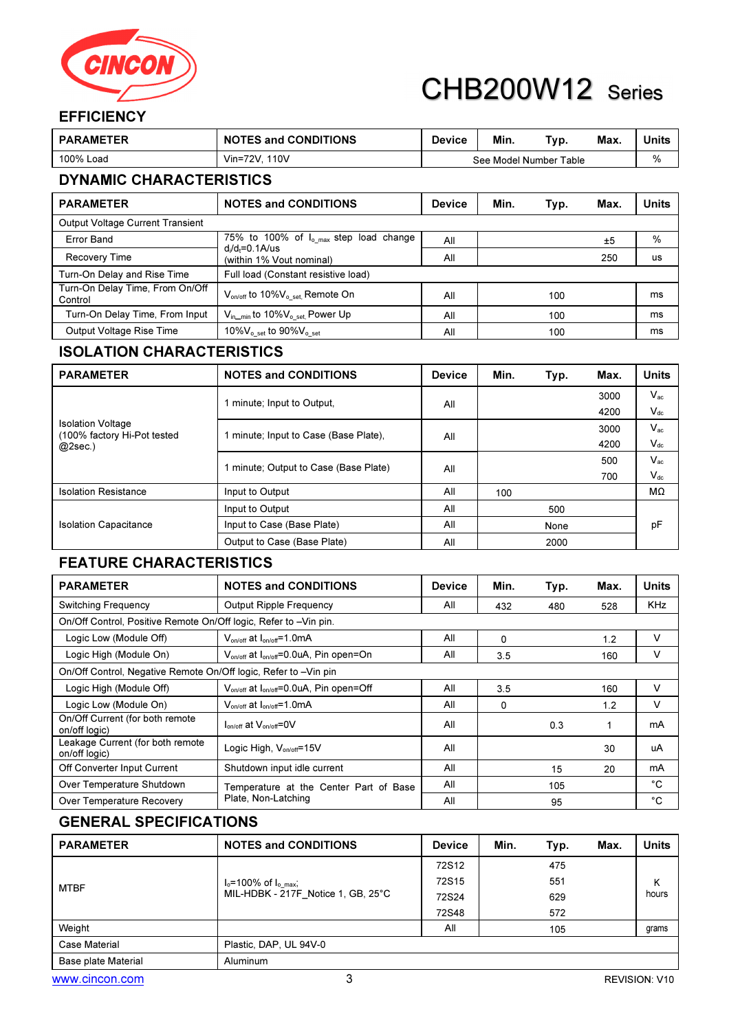

#### **EFFICIENCY**

| <b>PARAMETER</b>                           | <b>NOTES and CONDITIONS</b>                                         | <b>Device</b> | Min. | Typ.                   | Max. | <b>Units</b> |  |
|--------------------------------------------|---------------------------------------------------------------------|---------------|------|------------------------|------|--------------|--|
| 100% Load                                  | Vin=72V. 110V                                                       |               |      | See Model Number Table |      | %            |  |
| <b>DYNAMIC CHARACTERISTICS</b>             |                                                                     |               |      |                        |      |              |  |
| <b>PARAMETER</b>                           | <b>NOTES and CONDITIONS</b>                                         | <b>Device</b> | Min. | Typ.                   | Max. | <b>Units</b> |  |
| <b>Output Voltage Current Transient</b>    |                                                                     |               |      |                        |      |              |  |
| <b>Error Band</b>                          | 75% to 100% of $I_{o,max}$ step load change<br>$d_i/d_f = 0.1$ A/us | All           |      |                        | ±5   | %            |  |
| <b>Recovery Time</b>                       | (within 1% Vout nominal)                                            | All           |      |                        | 250  | us           |  |
| Turn-On Delay and Rise Time                | Full load (Constant resistive load)                                 |               |      |                        |      |              |  |
| Turn-On Delay Time, From On/Off<br>Control | V <sub>on/off</sub> to 10%V <sub>o_set,</sub> Remote On             | All           |      | 100                    |      | ms           |  |
| Turn-On Delay Time, From Input             | V <sub>in_min</sub> to 10%V <sub>o_set,</sub> Power Up              | All           |      | 100                    |      | ms           |  |
| Output Voltage Rise Time                   | 10% $V_{o, set}$ to 90% $V_{o, set}$                                | All           |      | 100                    |      | ms           |  |

#### ISOLATION CHARACTERISTICS

| <b>PARAMETER</b>                                        | <b>NOTES and CONDITIONS</b>           | <b>Device</b> | Min. | Typ. | Max. | <b>Units</b> |
|---------------------------------------------------------|---------------------------------------|---------------|------|------|------|--------------|
|                                                         | 1 minute; Input to Output.            | All           |      |      | 3000 | $V_{ac}$     |
|                                                         |                                       |               |      |      | 4200 | $V_{dc}$     |
| <b>Isolation Voltage</b><br>(100% factory Hi-Pot tested | 1 minute; Input to Case (Base Plate). | All           |      |      | 3000 | $V_{ac}$     |
| $@2sec.$ )                                              |                                       |               |      |      | 4200 | $V_{dc}$     |
|                                                         | 1 minute; Output to Case (Base Plate) |               |      |      | 500  | $V_{ac}$     |
|                                                         |                                       | All           |      |      | 700  | $V_{dc}$     |
| <b>Isolation Resistance</b>                             | Input to Output                       | All           | 100  |      |      | MΩ           |
|                                                         | Input to Output                       | All           |      | 500  |      |              |
| <b>Isolation Capacitance</b>                            | Input to Case (Base Plate)            | All           |      | None |      | рF           |
|                                                         | Output to Case (Base Plate)           | All           |      | 2000 |      |              |

#### FEATURE CHARACTERISTICS

| <b>PARAMETER</b>                                                 | <b>NOTES and CONDITIONS</b>                                     | <b>Device</b> | Min.     | Typ. | Max. | <b>Units</b> |
|------------------------------------------------------------------|-----------------------------------------------------------------|---------------|----------|------|------|--------------|
| <b>Switching Frequency</b>                                       | <b>Output Ripple Frequency</b>                                  | All           | 432      | 480  | 528  | <b>KHz</b>   |
| On/Off Control, Positive Remote On/Off logic, Refer to -Vin pin. |                                                                 |               |          |      |      |              |
| Logic Low (Module Off)                                           | $V_{on/off}$ at $I_{on/off}$ =1.0mA                             | All           | $\Omega$ |      | 1.2  | v            |
| Logic High (Module On)                                           | $V_{on/off}$ at $I_{on/off} = 0.0 uA$ , Pin open=On             | All           | 3.5      |      | 160  | v            |
| On/Off Control, Negative Remote On/Off logic, Refer to -Vin pin  |                                                                 |               |          |      |      |              |
| Logic High (Module Off)                                          | V <sub>on/off</sub> at I <sub>on/off</sub> =0.0uA, Pin open=Off | All           | 3.5      |      | 160  | v            |
| Logic Low (Module On)                                            | $V_{\text{on/off}}$ at $I_{\text{on/off}}$ =1.0mA               | All           | 0        |      | 1.2  | v            |
| On/Off Current (for both remote<br>on/off logic)                 | $I_{on/off}$ at $V_{on-off}$ =0V                                | All           |          | 0.3  | 1    | mA           |
| Leakage Current (for both remote<br>on/off logic)                | Logic High, $V_{on/off} = 15V$                                  | All           |          |      | 30   | uA           |
| Off Converter Input Current                                      | Shutdown input idle current<br>All<br>15                        |               | 20       | mA   |      |              |
| Over Temperature Shutdown                                        | Temperature at the Center Part of Base                          | All           |          | 105  |      | °C           |
| Over Temperature Recovery                                        | Plate, Non-Latching                                             | All           |          | 95   |      | °C           |

#### GENERAL SPECIFICATIONS

| <b>PARAMETER</b>    | <b>NOTES and CONDITIONS</b>         | <b>Device</b> | Min. | Typ. | Max. | <b>Units</b> |  |
|---------------------|-------------------------------------|---------------|------|------|------|--------------|--|
|                     |                                     | 72S12         |      | 475  |      |              |  |
| <b>MTBF</b>         | $I_0 = 100\% \text{ of } I_{0,max}$ | 72S15         |      | 551  |      | Κ            |  |
|                     | MIL-HDBK - 217F_Notice 1, GB, 25°C  | 72S24         |      | 629  |      | hours        |  |
|                     |                                     | 72S48         |      | 572  |      |              |  |
| Weight              |                                     | All           |      | 105  |      | grams        |  |
| Case Material       | Plastic, DAP, UL 94V-0              |               |      |      |      |              |  |
| Base plate Material | <b>Aluminum</b>                     |               |      |      |      |              |  |
| www.cincon.com      | ◠<br><b>REVISION: V10</b>           |               |      |      |      |              |  |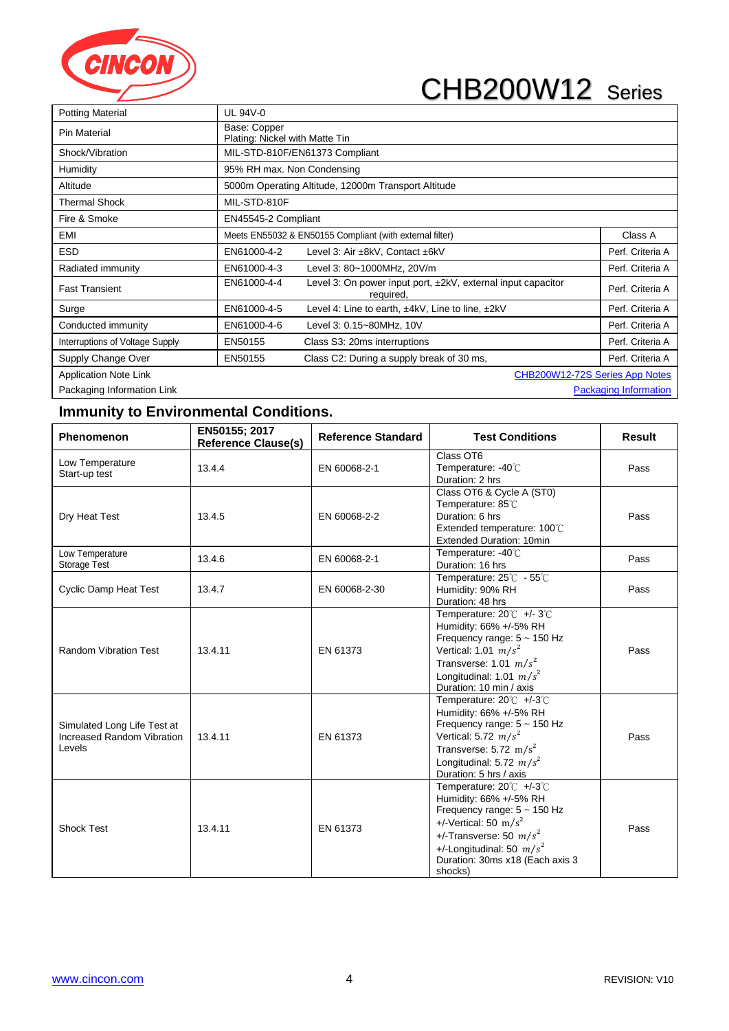

| <b>Potting Material</b>         | UL 94V-0                                       |                                                                           |                       |
|---------------------------------|------------------------------------------------|---------------------------------------------------------------------------|-----------------------|
| <b>Pin Material</b>             | Base: Copper<br>Plating: Nickel with Matte Tin |                                                                           |                       |
| Shock/Vibration                 |                                                | MIL-STD-810F/EN61373 Compliant                                            |                       |
| <b>Humidity</b>                 | 95% RH max. Non Condensing                     |                                                                           |                       |
| Altitude                        |                                                | 5000m Operating Altitude, 12000m Transport Altitude                       |                       |
| <b>Thermal Shock</b>            | MIL-STD-810F                                   |                                                                           |                       |
| Fire & Smoke                    | EN45545-2 Compliant                            |                                                                           |                       |
| EMI                             |                                                | Meets EN55032 & EN50155 Compliant (with external filter)                  | Class A               |
| <b>ESD</b>                      | EN61000-4-2                                    | Level 3: Air ±8kV, Contact ±6kV                                           | Perf. Criteria A      |
| Radiated immunity               | EN61000-4-3                                    | Level 3: 80~1000MHz, 20V/m                                                | Perf. Criteria A      |
| <b>Fast Transient</b>           | EN61000-4-4                                    | Level 3: On power input port, ±2kV, external input capacitor<br>required, | Perf. Criteria A      |
| Surge                           | EN61000-4-5                                    | Level 4: Line to earth, ±4kV, Line to line, ±2kV                          | Perf. Criteria A      |
| Conducted immunity              | EN61000-4-6                                    | Level 3: 0.15~80MHz, 10V                                                  | Perf. Criteria A      |
| Interruptions of Voltage Supply | EN50155                                        | Class S3: 20ms interruptions                                              | Perf. Criteria A      |
| Supply Change Over              | EN50155                                        | Class C2: During a supply break of 30 ms,                                 | Perf. Criteria A      |
| <b>Application Note Link</b>    |                                                | CHB200W12-72S Series App Notes                                            |                       |
| Packaging Information Link      |                                                |                                                                           | Packaging Information |

#### **Immunity to Environmental Conditions.**

| <b>Phenomenon</b>                                                   | EN50155; 2017<br><b>Reference Clause(s)</b> | <b>Reference Standard</b> | <b>Test Conditions</b>                                                                                                                                                                                                      | Result |
|---------------------------------------------------------------------|---------------------------------------------|---------------------------|-----------------------------------------------------------------------------------------------------------------------------------------------------------------------------------------------------------------------------|--------|
| Low Temperature<br>Start-up test                                    | 13.4.4                                      | EN 60068-2-1              | Class OT6<br>Temperature: -40°C<br>Duration: 2 hrs                                                                                                                                                                          | Pass   |
| Dry Heat Test                                                       | 13.4.5                                      | EN 60068-2-2              | Class OT6 & Cycle A (ST0)<br>Temperature: 85°C<br>Duration: 6 hrs<br>Extended temperature: 100°C<br><b>Extended Duration: 10min</b>                                                                                         | Pass   |
| Low Temperature<br>Storage Test                                     | 13.4.6                                      | EN 60068-2-1              | Temperature: -40°C<br>Duration: 16 hrs                                                                                                                                                                                      | Pass   |
| <b>Cyclic Damp Heat Test</b>                                        | 13.4.7                                      | EN 60068-2-30             | Temperature: 25°C - 55°C<br>Humidity: 90% RH<br>Duration: 48 hrs                                                                                                                                                            | Pass   |
| <b>Random Vibration Test</b>                                        | 13.4.11                                     | EN 61373                  | Temperature: 20°C +/-3°C<br>Humidity: 66% +/-5% RH<br>Frequency range: 5 ~ 150 Hz<br>Vertical: 1.01 $m/s^2$<br>Transverse: 1.01 $m/s^2$<br>Longitudinal: 1.01 $m/s^2$<br>Duration: 10 min / axis                            | Pass   |
| Simulated Long Life Test at<br>Increased Random Vibration<br>Levels | 13.4.11                                     | EN 61373                  | Temperature: 20°C +/-3°C<br>Humidity: 66% +/-5% RH<br>Frequency range: $5 \sim 150$ Hz<br>Vertical: 5.72 $m/s^2$<br>Transverse: $5.72 \text{ m/s}^2$<br>Longitudinal: 5.72 $m/s^2$<br>Duration: 5 hrs / axis                | Pass   |
| <b>Shock Test</b>                                                   | 13.4.11                                     | EN 61373                  | Temperature: 20°C +/-3°C<br>Humidity: 66% +/-5% RH<br>Frequency range: $5 \sim 150$ Hz<br>+/-Vertical: 50 $m/s^2$<br>+/-Transverse: 50 $m/s^2$<br>+/-Longitudinal: 50 $m/s^2$<br>Duration: 30ms x18 (Each axis 3<br>shocks) | Pass   |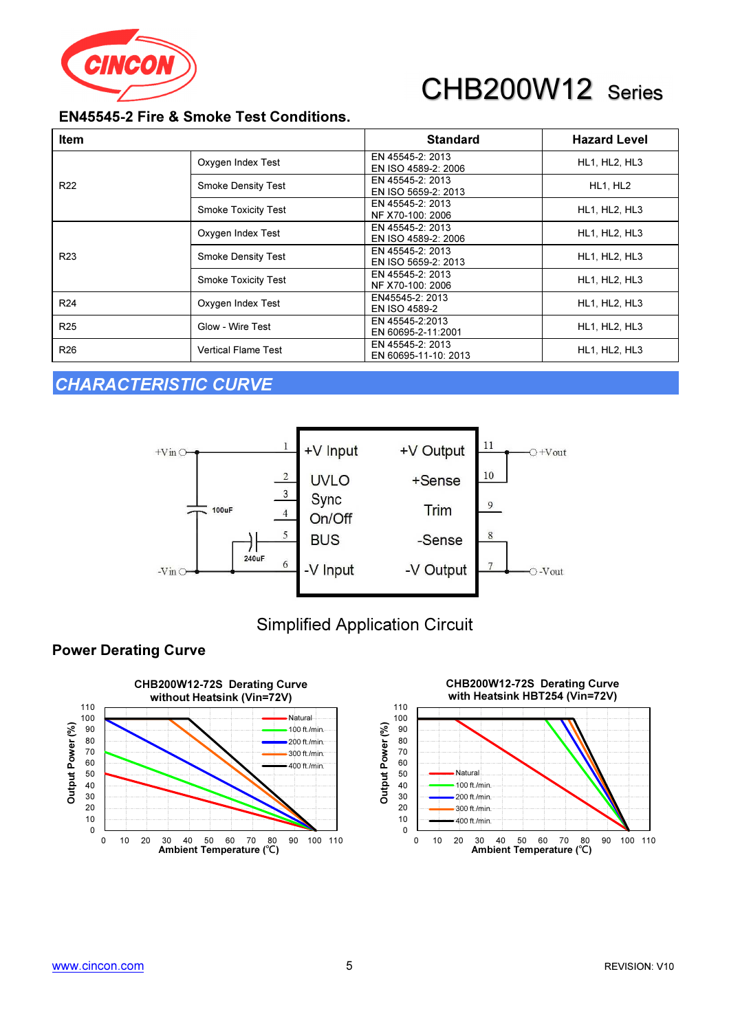

### EN45545-2 Fire & Smoke Test Conditions.

| <b>Item</b>     |                            | <b>Standard</b>                          | <b>Hazard Level</b>  |
|-----------------|----------------------------|------------------------------------------|----------------------|
|                 | Oxygen Index Test          | EN 45545-2: 2013<br>EN ISO 4589-2: 2006  | <b>HL1, HL2, HL3</b> |
| R <sub>22</sub> | Smoke Density Test         | EN 45545-2: 2013<br>EN ISO 5659-2: 2013  | HL1, HL2             |
|                 | <b>Smoke Toxicity Test</b> | EN 45545-2: 2013<br>NF X70-100: 2006     | HL1, HL2, HL3        |
|                 | Oxygen Index Test          | EN 45545-2: 2013<br>EN ISO 4589-2: 2006  | HL1, HL2, HL3        |
| R <sub>23</sub> | <b>Smoke Density Test</b>  | EN 45545-2: 2013<br>EN ISO 5659-2: 2013  | HL1, HL2, HL3        |
|                 | <b>Smoke Toxicity Test</b> | EN 45545-2: 2013<br>NF X70-100: 2006     | HL1, HL2, HL3        |
| R <sub>24</sub> | Oxygen Index Test          | EN45545-2: 2013<br>EN ISO 4589-2         | HL1, HL2, HL3        |
| R <sub>25</sub> | Glow - Wire Test           | EN 45545-2:2013<br>EN 60695-2-11:2001    | HL1, HL2, HL3        |
| R <sub>26</sub> | <b>Vertical Flame Test</b> | EN 45545-2: 2013<br>EN 60695-11-10: 2013 | HL1, HL2, HL3        |

### CHARACTERISTIC CURVE



### Simplified Application Circuit

#### Power Derating Curve



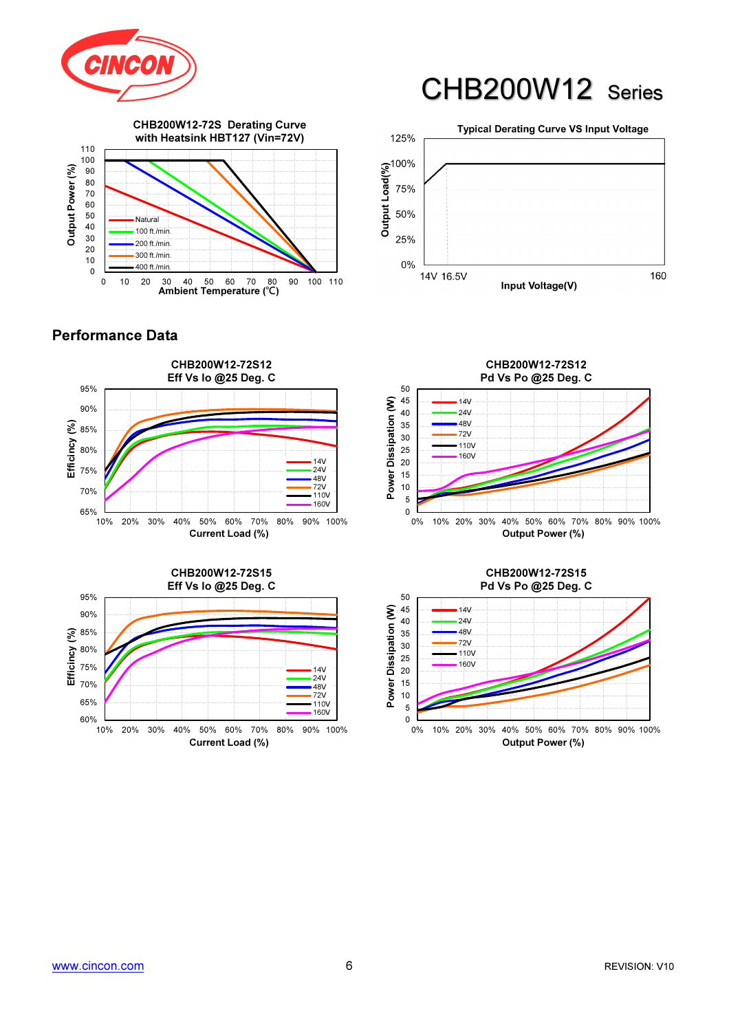



#### Performance Data









#### CHB200W12-72S15 Pd Vs Po @25 Deg. C

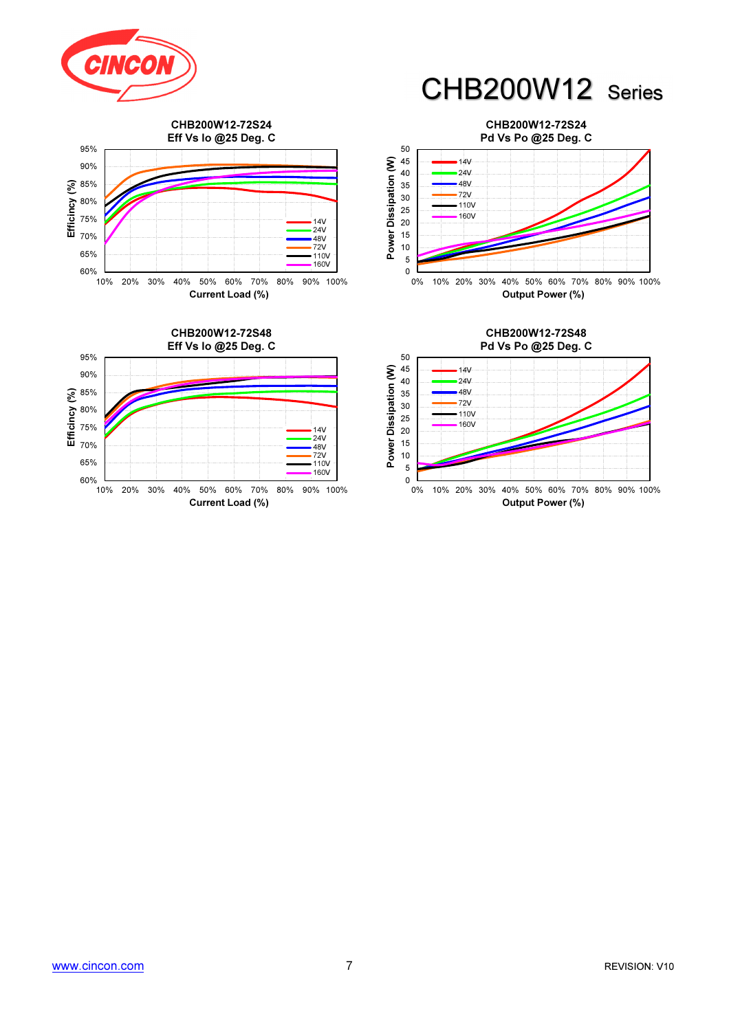